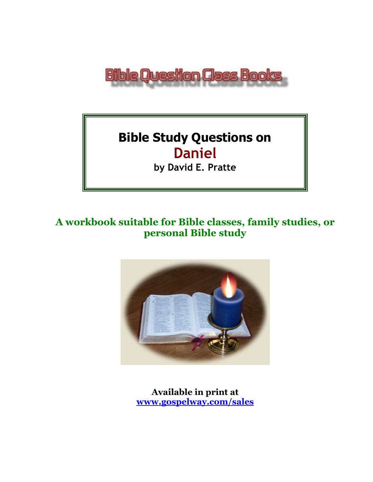

# **Bible Study Questions on Daniel**

**by David E. Pratte**

# **A workbook suitable for Bible classes, family studies, or personal Bible study**



**Available in print at [www.gospelway.com/sales](https://www.gospelway.com/sales)**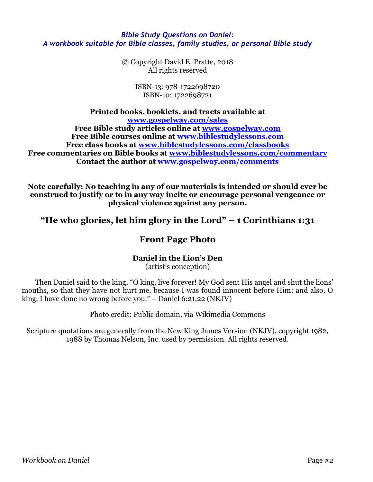### *Bible Study Questions on Daniel: A workbook suitable for Bible classes, family studies, or personal Bible study*

© Copyright David E. Pratte, 2018 All rights reserved

> ISBN-13: 978-1722698720 ISBN-10: 1722698721

**Printed books, booklets, and tracts available at [www.gospelway.com/sales](https://www.gospelway.com/sales) Free Bible study articles online at [www.gospelway.com](http://www.gospelway.com/) Free Bible courses online at [www.biblestudylessons.com](http://www.biblestudylessons.com/) Free class books at [www.biblestudylessons.com/classbooks](http://www.biblestudylessons.com/classbooks) Free commentaries on Bible books at [www.biblestudylessons.com/commentary](http://www.biblestudylessons.com/commentary) Contact the author at [www.gospelway.com/comments](http://www.gospelway.com/comments)**

**Note carefully: No teaching in any of our materials is intended or should ever be construed to justify or to in any way incite or encourage personal vengeance or physical violence against any person.**

**"He who glories, let him glory in the Lord" – 1 Corinthians 1:31**

### **Front Page Photo**

### **Daniel in the Lion's Den**

(artist's conception)

Then Daniel said to the king, "O king, live forever! My God sent His angel and shut the lions' mouths, so that they have not hurt me, because I was found innocent before Him; and also, O king, I have done no wrong before you." – Daniel 6:21,22 (NKJV)

Photo credit: Public domain, via Wikimedia Commons

Scripture quotations are generally from the New King James Version (NKJV), copyright 1982, 1988 by Thomas Nelson, Inc. used by permission. All rights reserved.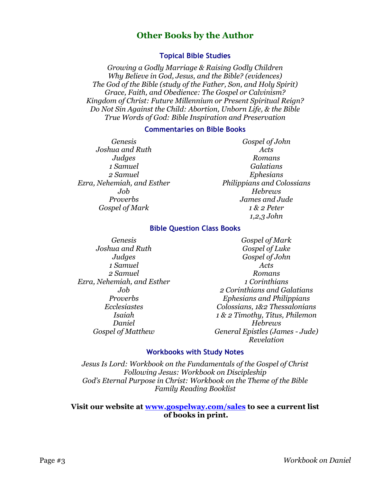### **Other Books by the Author**

### **Topical Bible Studies**

*Growing a Godly Marriage & Raising Godly Children Why Believe in God, Jesus, and the Bible? (evidences) The God of the Bible (study of the Father, Son, and Holy Spirit) Grace, Faith, and Obedience: The Gospel or Calvinism? Kingdom of Christ: Future Millennium or Present Spiritual Reign? Do Not Sin Against the Child: Abortion, Unborn Life, & the Bible True Words of God: Bible Inspiration and Preservation*

#### **Commentaries on Bible Books**

*Genesis Joshua and Ruth Judges 1 Samuel 2 Samuel Ezra, Nehemiah, and Esther Job Proverbs Gospel of Mark*

*Gospel of John Acts Romans Galatians Ephesians Philippians and Colossians Hebrews James and Jude 1 & 2 Peter 1,2,3 John*

#### **Bible Question Class Books**

*Genesis Joshua and Ruth Judges 1 Samuel 2 Samuel Ezra, Nehemiah, and Esther Job Proverbs Ecclesiastes Isaiah Daniel Gospel of Matthew*

*Gospel of Mark Gospel of Luke Gospel of John Acts Romans 1 Corinthians 2 Corinthians and Galatians Ephesians and Philippians Colossians, 1&2 Thessalonians 1 & 2 Timothy, Titus, Philemon Hebrews General Epistles (James - Jude) Revelation*

#### **Workbooks with Study Notes**

*Jesus Is Lord: Workbook on the Fundamentals of the Gospel of Christ Following Jesus: Workbook on Discipleship God's Eternal Purpose in Christ: Workbook on the Theme of the Bible Family Reading Booklist*

#### **Visit our website at [www.gospelway.com/sales](https://www.gospelway.com/sales) to see a current list of books in print.**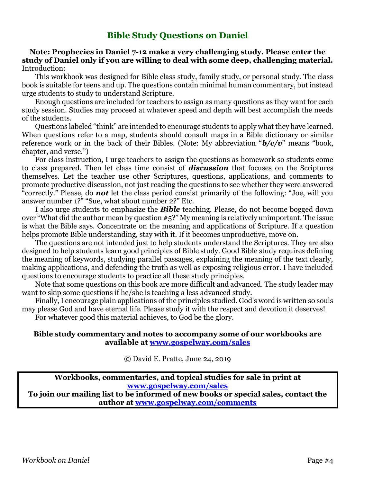### **Bible Study Questions on Daniel**

### **Note: Prophecies in Daniel 7-12 make a very challenging study. Please enter the study of Daniel only if you are willing to deal with some deep, challenging material.** Introduction:

This workbook was designed for Bible class study, family study, or personal study. The class book is suitable for teens and up. The questions contain minimal human commentary, but instead urge students to study to understand Scripture.

Enough questions are included for teachers to assign as many questions as they want for each study session. Studies may proceed at whatever speed and depth will best accomplish the needs of the students.

Questions labeled "think" are intended to encourage students to apply what they have learned. When questions refer to a map, students should consult maps in a Bible dictionary or similar reference work or in the back of their Bibles. (Note: My abbreviation "*b/c/v*" means "book, chapter, and verse.")

For class instruction, I urge teachers to assign the questions as homework so students come to class prepared. Then let class time consist of *discussion* that focuses on the Scriptures themselves. Let the teacher use other Scriptures, questions, applications, and comments to promote productive discussion, not just reading the questions to see whether they were answered "correctly." Please, do *not* let the class period consist primarily of the following: "Joe, will you answer number 1?" "Sue, what about number 2?" Etc.

I also urge students to emphasize the *Bible* teaching. Please, do not become bogged down over "What did the author mean by question #5?" My meaning is relatively unimportant. The issue is what the Bible says. Concentrate on the meaning and applications of Scripture. If a question helps promote Bible understanding, stay with it. If it becomes unproductive, move on.

The questions are not intended just to help students understand the Scriptures. They are also designed to help students learn good principles of Bible study. Good Bible study requires defining the meaning of keywords, studying parallel passages, explaining the meaning of the text clearly, making applications, and defending the truth as well as exposing religious error. I have included questions to encourage students to practice all these study principles.

Note that some questions on this book are more difficult and advanced. The study leader may want to skip some questions if he/she is teaching a less advanced study.

Finally, I encourage plain applications of the principles studied. God's word is written so souls may please God and have eternal life. Please study it with the respect and devotion it deserves! For whatever good this material achieves, to God be the glory.

#### **Bible study commentary and notes to accompany some of our workbooks are available at [www.gospelway.com/sales](https://www.gospelway.com/sales)**

© David E. Pratte, June 24, 2019

**Workbooks, commentaries, and topical studies for sale in print at [www.gospelway.com/sales](https://www.gospelway.com/sales)**

**To join our mailing list to be informed of new books or special sales, contact the author at [www.gospelway.com/comments](http://www.gospelway.com/comments)**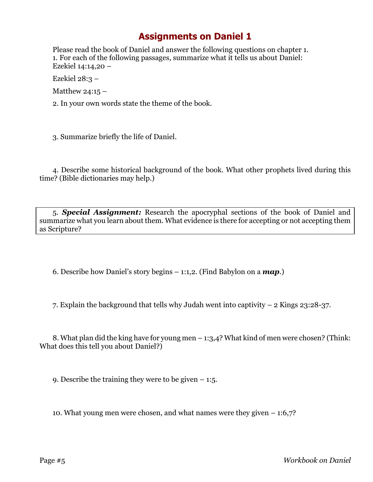Please read the book of Daniel and answer the following questions on chapter 1. 1. For each of the following passages, summarize what it tells us about Daniel: Ezekiel 14:14,20 –

Ezekiel 28:3 –

Matthew 24:15  $-$ 

2. In your own words state the theme of the book.

3. Summarize briefly the life of Daniel.

4. Describe some historical background of the book. What other prophets lived during this time? (Bible dictionaries may help.)

5. *Special Assignment:* Research the apocryphal sections of the book of Daniel and summarize what you learn about them. What evidence is there for accepting or not accepting them as Scripture?

6. Describe how Daniel's story begins – 1:1,2. (Find Babylon on a *map*.)

7. Explain the background that tells why Judah went into captivity – 2 Kings 23:28-37.

8. What plan did the king have for young men – 1:3,4? What kind of men were chosen? (Think: What does this tell you about Daniel?)

9. Describe the training they were to be given  $-1.5$ .

10. What young men were chosen, and what names were they given – 1:6,7?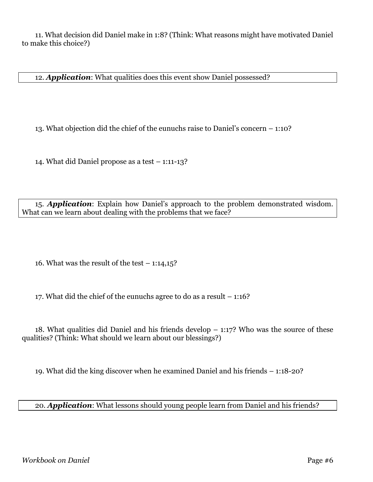11. What decision did Daniel make in 1:8? (Think: What reasons might have motivated Daniel to make this choice?)

12. *Application*: What qualities does this event show Daniel possessed?

13. What objection did the chief of the eunuchs raise to Daniel's concern – 1:10?

14. What did Daniel propose as a test – 1:11-13?

15. *Application*: Explain how Daniel's approach to the problem demonstrated wisdom. What can we learn about dealing with the problems that we face?

16. What was the result of the test  $-1:14,15$ ?

17. What did the chief of the eunuchs agree to do as a result – 1:16?

18. What qualities did Daniel and his friends develop  $-1:17$ ? Who was the source of these qualities? (Think: What should we learn about our blessings?)

19. What did the king discover when he examined Daniel and his friends – 1:18-20?

20. *Application*: What lessons should young people learn from Daniel and his friends?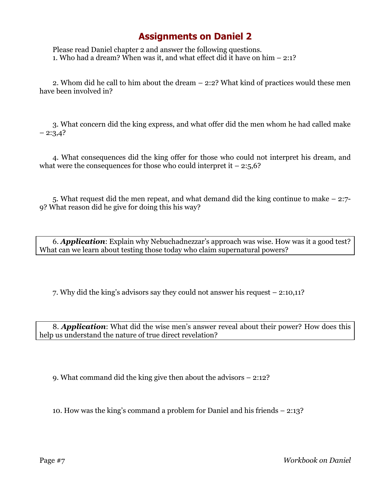Please read Daniel chapter 2 and answer the following questions. 1. Who had a dream? When was it, and what effect did it have on him – 2:1?

2. Whom did he call to him about the dream – 2:2? What kind of practices would these men have been involved in?

3. What concern did the king express, and what offer did the men whom he had called make  $-2:3,4?$ 

4. What consequences did the king offer for those who could not interpret his dream, and what were the consequences for those who could interpret it  $-2:5,6$ ?

5. What request did the men repeat, and what demand did the king continue to make – 2:7- 9? What reason did he give for doing this his way?

6. *Application*: Explain why Nebuchadnezzar's approach was wise. How was it a good test? What can we learn about testing those today who claim supernatural powers?

7. Why did the king's advisors say they could not answer his request – 2:10,11?

8. *Application*: What did the wise men's answer reveal about their power? How does this help us understand the nature of true direct revelation?

9. What command did the king give then about the advisors – 2:12?

10. How was the king's command a problem for Daniel and his friends – 2:13?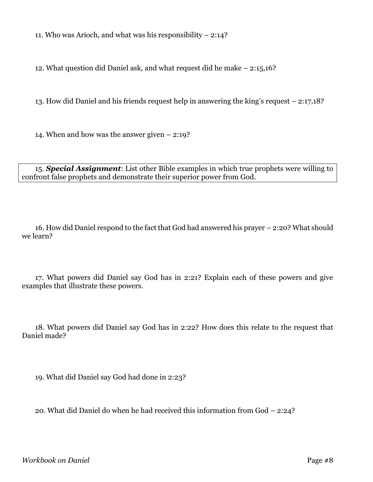11. Who was Arioch, and what was his responsibility – 2:14?

12. What question did Daniel ask, and what request did he make – 2:15,16?

13. How did Daniel and his friends request help in answering the king's request – 2:17,18?

14. When and how was the answer given – 2:19?

15. *Special Assignment*: List other Bible examples in which true prophets were willing to confront false prophets and demonstrate their superior power from God.

16. How did Daniel respond to the fact that God had answered his prayer – 2:20? What should we learn?

17. What powers did Daniel say God has in 2:21? Explain each of these powers and give examples that illustrate these powers.

18. What powers did Daniel say God has in 2:22? How does this relate to the request that Daniel made?

19. What did Daniel say God had done in 2:23?

20. What did Daniel do when he had received this information from God – 2:24?

*Workbook on Daniel* Page #8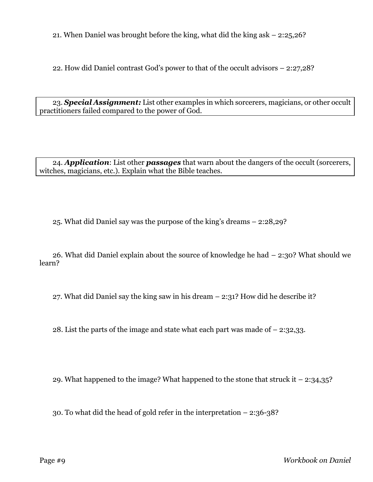21. When Daniel was brought before the king, what did the king ask – 2:25,26?

22. How did Daniel contrast God's power to that of the occult advisors – 2:27,28?

23. *Special Assignment:* List other examples in which sorcerers, magicians, or other occult practitioners failed compared to the power of God.

24. *Application*: List other *passages* that warn about the dangers of the occult (sorcerers, witches, magicians, etc.). Explain what the Bible teaches.

25. What did Daniel say was the purpose of the king's dreams – 2:28,29?

26. What did Daniel explain about the source of knowledge he had – 2:30? What should we learn?

27. What did Daniel say the king saw in his dream  $-$  2:31? How did he describe it?

28. List the parts of the image and state what each part was made of – 2:32,33.

29. What happened to the image? What happened to the stone that struck it – 2:34,35?

30. To what did the head of gold refer in the interpretation – 2:36-38?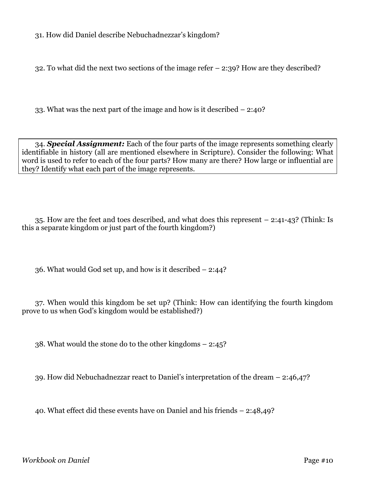31. How did Daniel describe Nebuchadnezzar's kingdom?

32. To what did the next two sections of the image refer – 2:39? How are they described?

33. What was the next part of the image and how is it described – 2:40?

34. *Special Assignment:* Each of the four parts of the image represents something clearly identifiable in history (all are mentioned elsewhere in Scripture). Consider the following: What word is used to refer to each of the four parts? How many are there? How large or influential are they? Identify what each part of the image represents.

35. How are the feet and toes described, and what does this represent – 2:41-43? (Think: Is this a separate kingdom or just part of the fourth kingdom?)

36. What would God set up, and how is it described – 2:44?

37. When would this kingdom be set up? (Think: How can identifying the fourth kingdom prove to us when God's kingdom would be established?)

38. What would the stone do to the other kingdoms – 2:45?

39. How did Nebuchadnezzar react to Daniel's interpretation of the dream – 2:46,47?

40. What effect did these events have on Daniel and his friends – 2:48,49?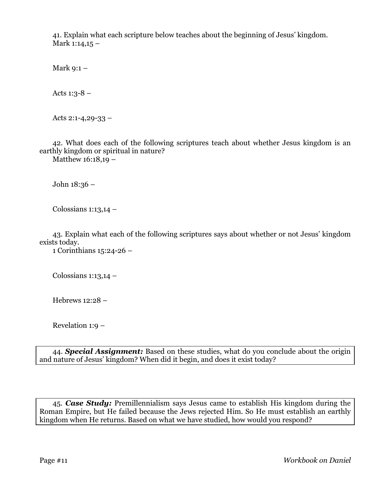41. Explain what each scripture below teaches about the beginning of Jesus' kingdom. Mark  $1:14,15 -$ 

Mark 9:1 –

Acts  $1:3-8$  –

Acts 2:1-4,29-33  $-$ 

42. What does each of the following scriptures teach about whether Jesus kingdom is an earthly kingdom or spiritual in nature?

Matthew 16:18,19 –

John 18:36 –

Colossians  $1:13,14$  –

43. Explain what each of the following scriptures says about whether or not Jesus' kingdom exists today.

1 Corinthians 15:24-26 –

Colossians  $1:13,14$  –

Hebrews 12:28 –

Revelation 1:9 –

44. *Special Assignment:* Based on these studies, what do you conclude about the origin and nature of Jesus' kingdom? When did it begin, and does it exist today?

45. *Case Study:* Premillennialism says Jesus came to establish His kingdom during the Roman Empire, but He failed because the Jews rejected Him. So He must establish an earthly kingdom when He returns. Based on what we have studied, how would you respond?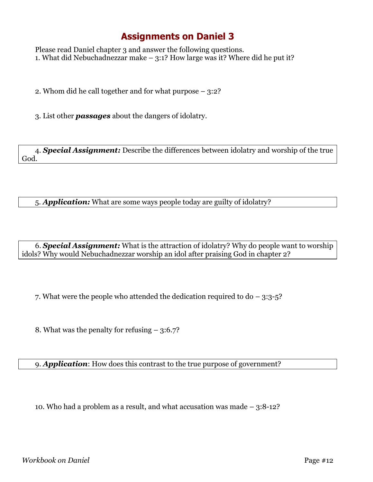Please read Daniel chapter 3 and answer the following questions. 1. What did Nebuchadnezzar make  $-3:1$ ? How large was it? Where did he put it?

2. Whom did he call together and for what purpose – 3:2?

3. List other *passages* about the dangers of idolatry.

4. *Special Assignment:* Describe the differences between idolatry and worship of the true God.

5. *Application:* What are some ways people today are guilty of idolatry?

6. *Special Assignment:* What is the attraction of idolatry? Why do people want to worship idols? Why would Nebuchadnezzar worship an idol after praising God in chapter 2?

7. What were the people who attended the dedication required to do – 3:3-5?

8. What was the penalty for refusing – 3:6.7?

9. *Application*: How does this contrast to the true purpose of government?

10. Who had a problem as a result, and what accusation was made – 3:8-12?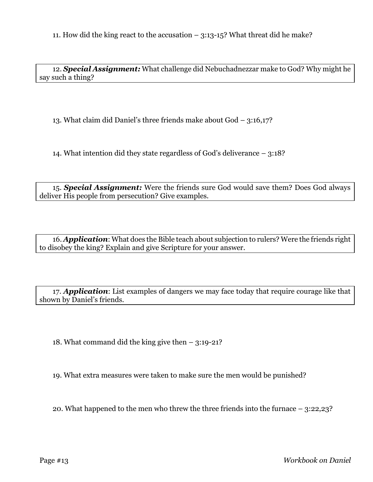11. How did the king react to the accusation – 3:13-15? What threat did he make?

12. *Special Assignment:* What challenge did Nebuchadnezzar make to God? Why might he say such a thing?

13. What claim did Daniel's three friends make about God – 3:16,17?

14. What intention did they state regardless of God's deliverance – 3:18?

15. *Special Assignment:* Were the friends sure God would save them? Does God always deliver His people from persecution? Give examples.

16. *Application*: What does the Bible teach about subjection to rulers? Were the friends right to disobey the king? Explain and give Scripture for your answer.

17. *Application*: List examples of dangers we may face today that require courage like that shown by Daniel's friends.

18. What command did the king give then – 3:19-21?

19. What extra measures were taken to make sure the men would be punished?

20. What happened to the men who threw the three friends into the furnace – 3:22,23?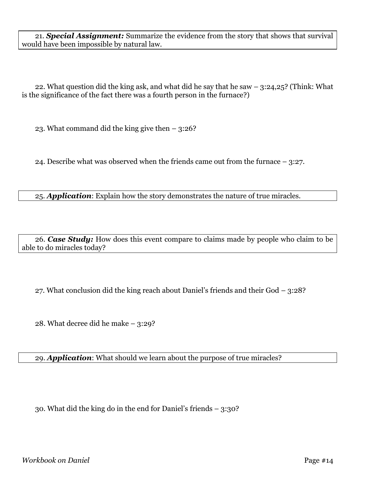21. *Special Assignment:* Summarize the evidence from the story that shows that survival would have been impossible by natural law.

22. What question did the king ask, and what did he say that he saw  $-$  3:24,25? (Think: What is the significance of the fact there was a fourth person in the furnace?)

23. What command did the king give then – 3:26?

24. Describe what was observed when the friends came out from the furnace – 3:27.

25. *Application*: Explain how the story demonstrates the nature of true miracles.

26. *Case Study:* How does this event compare to claims made by people who claim to be able to do miracles today?

27. What conclusion did the king reach about Daniel's friends and their God – 3:28?

28. What decree did he make – 3:29?

29. *Application*: What should we learn about the purpose of true miracles?

30. What did the king do in the end for Daniel's friends – 3:30?

*Workbook on Daniel* Page #14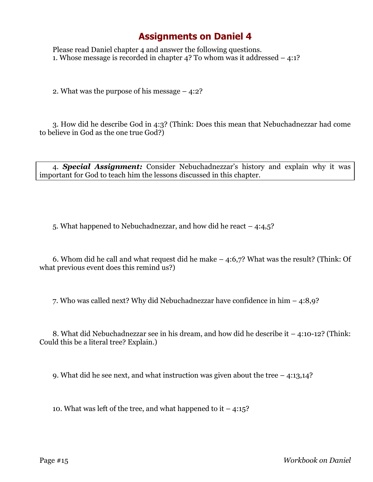Please read Daniel chapter 4 and answer the following questions. 1. Whose message is recorded in chapter 4? To whom was it addressed – 4:1?

2. What was the purpose of his message – 4:2?

3. How did he describe God in 4:3? (Think: Does this mean that Nebuchadnezzar had come to believe in God as the one true God?)

4. *Special Assignment:* Consider Nebuchadnezzar's history and explain why it was important for God to teach him the lessons discussed in this chapter.

5. What happened to Nebuchadnezzar, and how did he react – 4:4,5?

6. Whom did he call and what request did he make – 4:6,7? What was the result? (Think: Of what previous event does this remind us?)

7. Who was called next? Why did Nebuchadnezzar have confidence in him – 4:8,9?

8. What did Nebuchadnezzar see in his dream, and how did he describe it – 4:10-12? (Think: Could this be a literal tree? Explain.)

9. What did he see next, and what instruction was given about the tree – 4:13,14?

10. What was left of the tree, and what happened to it  $-4:15$ ?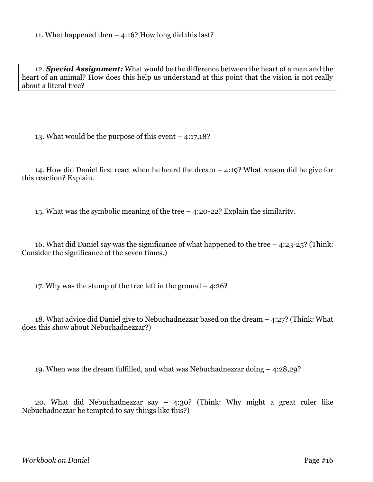12. *Special Assignment:* What would be the difference between the heart of a man and the heart of an animal? How does this help us understand at this point that the vision is not really about a literal tree?

13. What would be the purpose of this event – 4:17,18?

14. How did Daniel first react when he heard the dream – 4:19? What reason did he give for this reaction? Explain.

15. What was the symbolic meaning of the tree – 4:20-22? Explain the similarity.

16. What did Daniel say was the significance of what happened to the tree – 4:23-25? (Think: Consider the significance of the seven times.)

17. Why was the stump of the tree left in the ground – 4:26?

18. What advice did Daniel give to Nebuchadnezzar based on the dream – 4:27? (Think: What does this show about Nebuchadnezzar?)

19. When was the dream fulfilled, and what was Nebuchadnezzar doing – 4:28,29?

20. What did Nebuchadnezzar say – 4:30? (Think: Why might a great ruler like Nebuchadnezzar be tempted to say things like this?)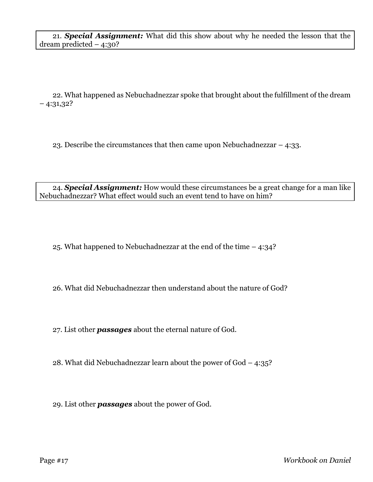22. What happened as Nebuchadnezzar spoke that brought about the fulfillment of the dream  $-4:31,32?$ 

23. Describe the circumstances that then came upon Nebuchadnezzar – 4:33.

24. *Special Assignment:* How would these circumstances be a great change for a man like Nebuchadnezzar? What effect would such an event tend to have on him?

25. What happened to Nebuchadnezzar at the end of the time – 4:34?

26. What did Nebuchadnezzar then understand about the nature of God?

27. List other *passages* about the eternal nature of God.

28. What did Nebuchadnezzar learn about the power of God – 4:35?

29. List other *passages* about the power of God.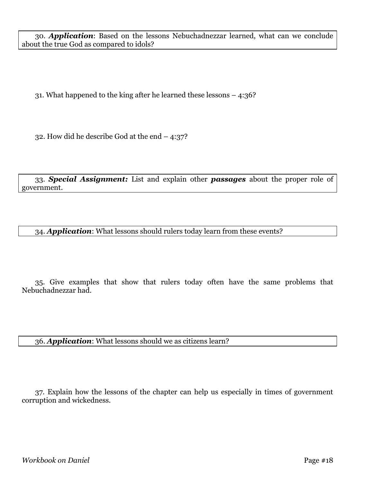30. *Application*: Based on the lessons Nebuchadnezzar learned, what can we conclude about the true God as compared to idols?

31. What happened to the king after he learned these lessons – 4:36?

32. How did he describe God at the end – 4:37?

33. *Special Assignment:* List and explain other *passages* about the proper role of government.

34. *Application*: What lessons should rulers today learn from these events?

35. Give examples that show that rulers today often have the same problems that Nebuchadnezzar had.

36. *Application*: What lessons should we as citizens learn?

37. Explain how the lessons of the chapter can help us especially in times of government corruption and wickedness.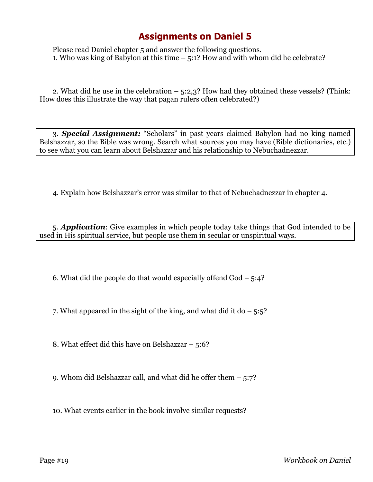Please read Daniel chapter 5 and answer the following questions. 1. Who was king of Babylon at this time – 5:1? How and with whom did he celebrate?

2. What did he use in the celebration – 5:2,3? How had they obtained these vessels? (Think: How does this illustrate the way that pagan rulers often celebrated?)

3. *Special Assignment:* "Scholars" in past years claimed Babylon had no king named Belshazzar, so the Bible was wrong. Search what sources you may have (Bible dictionaries, etc.) to see what you can learn about Belshazzar and his relationship to Nebuchadnezzar.

4. Explain how Belshazzar's error was similar to that of Nebuchadnezzar in chapter 4.

5. *Application*: Give examples in which people today take things that God intended to be used in His spiritual service, but people use them in secular or unspiritual ways.

6. What did the people do that would especially offend God – 5:4?

7. What appeared in the sight of the king, and what did it do  $-5:5$ ?

8. What effect did this have on Belshazzar – 5:6?

9. Whom did Belshazzar call, and what did he offer them – 5:7?

10. What events earlier in the book involve similar requests?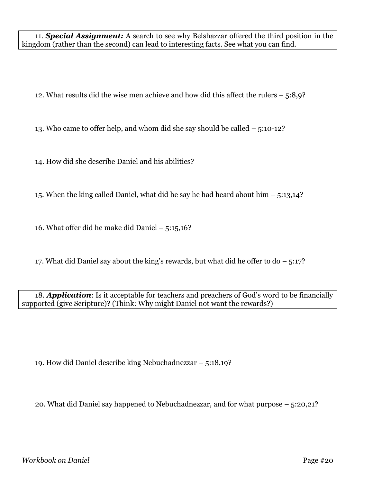11. *Special Assignment:* A search to see why Belshazzar offered the third position in the kingdom (rather than the second) can lead to interesting facts. See what you can find.

12. What results did the wise men achieve and how did this affect the rulers – 5:8,9?

13. Who came to offer help, and whom did she say should be called – 5:10-12?

14. How did she describe Daniel and his abilities?

15. When the king called Daniel, what did he say he had heard about him – 5:13,14?

16. What offer did he make did Daniel – 5:15,16?

17. What did Daniel say about the king's rewards, but what did he offer to do  $-5:17$ ?

18. *Application*: Is it acceptable for teachers and preachers of God's word to be financially supported (give Scripture)? (Think: Why might Daniel not want the rewards?)

19. How did Daniel describe king Nebuchadnezzar – 5:18,19?

20. What did Daniel say happened to Nebuchadnezzar, and for what purpose – 5:20,21?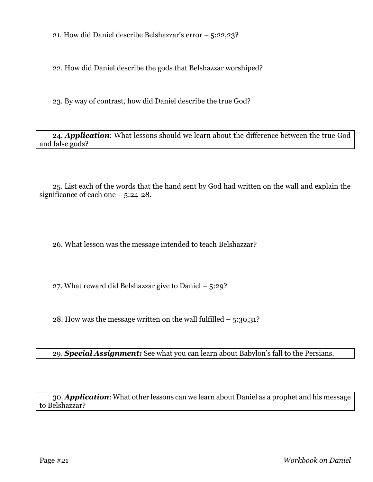21. How did Daniel describe Belshazzar's error – 5:22,23?

22. How did Daniel describe the gods that Belshazzar worshiped?

23. By way of contrast, how did Daniel describe the true God?

24. *Application*: What lessons should we learn about the difference between the true God and false gods?

25. List each of the words that the hand sent by God had written on the wall and explain the significance of each one – 5:24-28.

26. What lesson was the message intended to teach Belshazzar?

27. What reward did Belshazzar give to Daniel – 5:29?

28. How was the message written on the wall fulfilled  $-$  5:30,31?

29. *Special Assignment:* See what you can learn about Babylon's fall to the Persians.

30. *Application*: What other lessons can we learn about Daniel as a prophet and his message to Belshazzar?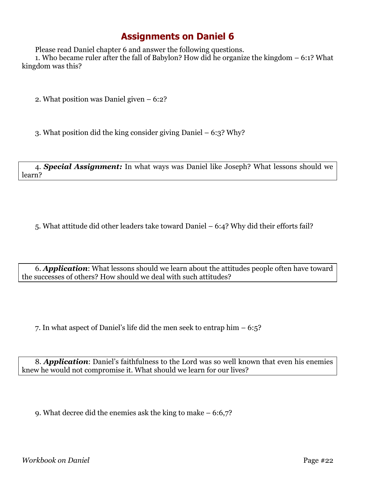Please read Daniel chapter 6 and answer the following questions.

1. Who became ruler after the fall of Babylon? How did he organize the kingdom – 6:1? What kingdom was this?

2. What position was Daniel given – 6:2?

3. What position did the king consider giving Daniel – 6:3? Why?

4. *Special Assignment:* In what ways was Daniel like Joseph? What lessons should we learn?

5. What attitude did other leaders take toward Daniel – 6:4? Why did their efforts fail?

6. *Application*: What lessons should we learn about the attitudes people often have toward the successes of others? How should we deal with such attitudes?

7. In what aspect of Daniel's life did the men seek to entrap him – 6:5?

8. *Application*: Daniel's faithfulness to the Lord was so well known that even his enemies knew he would not compromise it. What should we learn for our lives?

9. What decree did the enemies ask the king to make – 6:6,7?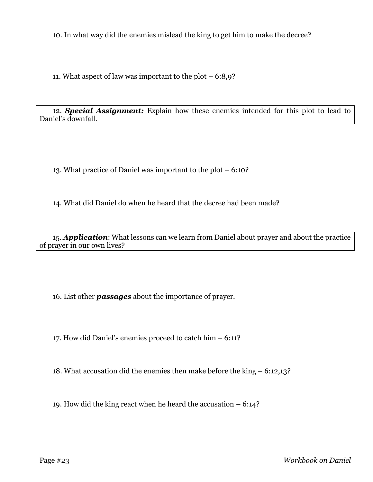10. In what way did the enemies mislead the king to get him to make the decree?

11. What aspect of law was important to the plot – 6:8,9?

12. *Special Assignment:* Explain how these enemies intended for this plot to lead to Daniel's downfall.

13. What practice of Daniel was important to the plot – 6:10?

14. What did Daniel do when he heard that the decree had been made?

15. *Application*: What lessons can we learn from Daniel about prayer and about the practice of prayer in our own lives?

16. List other *passages* about the importance of prayer.

17. How did Daniel's enemies proceed to catch him – 6:11?

18. What accusation did the enemies then make before the king – 6:12,13?

19. How did the king react when he heard the accusation – 6:14?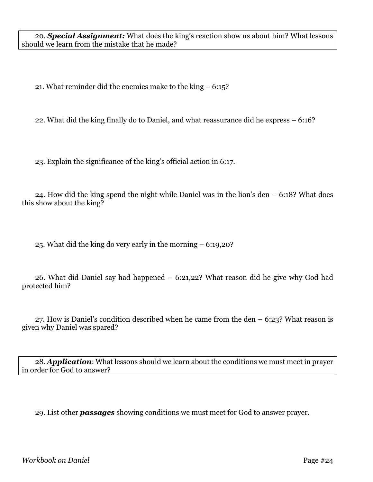20. *Special Assignment:* What does the king's reaction show us about him? What lessons should we learn from the mistake that he made?

21. What reminder did the enemies make to the king – 6:15?

22. What did the king finally do to Daniel, and what reassurance did he express – 6:16?

23. Explain the significance of the king's official action in 6:17.

24. How did the king spend the night while Daniel was in the lion's den – 6:18? What does this show about the king?

25. What did the king do very early in the morning – 6:19,20?

26. What did Daniel say had happened – 6:21,22? What reason did he give why God had protected him?

27. How is Daniel's condition described when he came from the den – 6:23? What reason is given why Daniel was spared?

28. *Application*: What lessons should we learn about the conditions we must meet in prayer in order for God to answer?

29. List other *passages* showing conditions we must meet for God to answer prayer.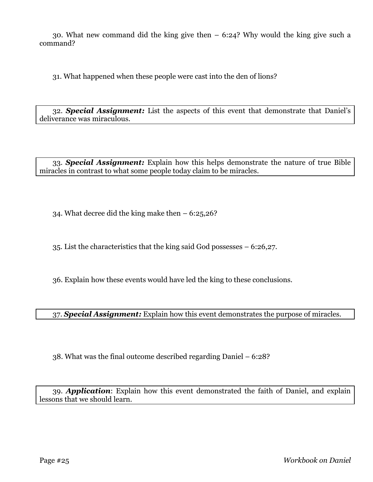30. What new command did the king give then – 6:24? Why would the king give such a command?

31. What happened when these people were cast into the den of lions?

32. *Special Assignment:* List the aspects of this event that demonstrate that Daniel's deliverance was miraculous.

33. *Special Assignment:* Explain how this helps demonstrate the nature of true Bible miracles in contrast to what some people today claim to be miracles.

34. What decree did the king make then – 6:25,26?

35. List the characteristics that the king said God possesses – 6:26,27.

36. Explain how these events would have led the king to these conclusions.

37. *Special Assignment:* Explain how this event demonstrates the purpose of miracles.

38. What was the final outcome described regarding Daniel – 6:28?

39. *Application*: Explain how this event demonstrated the faith of Daniel, and explain lessons that we should learn.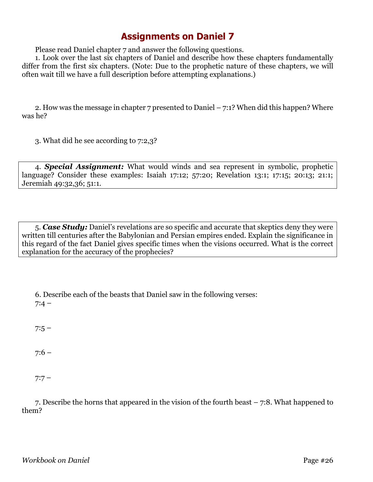Please read Daniel chapter 7 and answer the following questions.

1. Look over the last six chapters of Daniel and describe how these chapters fundamentally differ from the first six chapters. (Note: Due to the prophetic nature of these chapters, we will often wait till we have a full description before attempting explanations.)

2. How was the message in chapter 7 presented to Daniel – 7:1? When did this happen? Where was he?

3. What did he see according to 7:2,3?

4. *Special Assignment:* What would winds and sea represent in symbolic, prophetic language? Consider these examples: Isaiah 17:12; 57:20; Revelation 13:1; 17:15; 20:13; 21:1; Jeremiah 49:32,36; 51:1.

5. *Case Study:* Daniel's revelations are so specific and accurate that skeptics deny they were written till centuries after the Babylonian and Persian empires ended. Explain the significance in this regard of the fact Daniel gives specific times when the visions occurred. What is the correct explanation for the accuracy of the prophecies?

6. Describe each of the beasts that Daniel saw in the following verses:  $7:4 -$ 

 $7:5 -$ 

 $7:6 -$ 

 $7:7 -$ 

7. Describe the horns that appeared in the vision of the fourth beast – 7:8. What happened to them?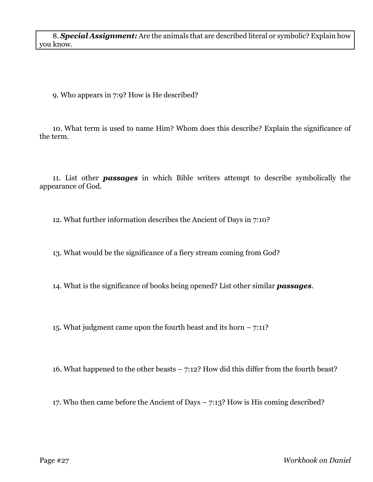8. *Special Assignment:* Are the animals that are described literal or symbolic? Explain how you know.

9. Who appears in 7:9? How is He described?

10. What term is used to name Him? Whom does this describe? Explain the significance of the term.

11. List other *passages* in which Bible writers attempt to describe symbolically the appearance of God.

12. What further information describes the Ancient of Days in 7:10?

13. What would be the significance of a fiery stream coming from God?

14. What is the significance of books being opened? List other similar *passages*.

15. What judgment came upon the fourth beast and its horn – 7:11?

16. What happened to the other beasts – 7:12? How did this differ from the fourth beast?

17. Who then came before the Ancient of Days – 7:13? How is His coming described?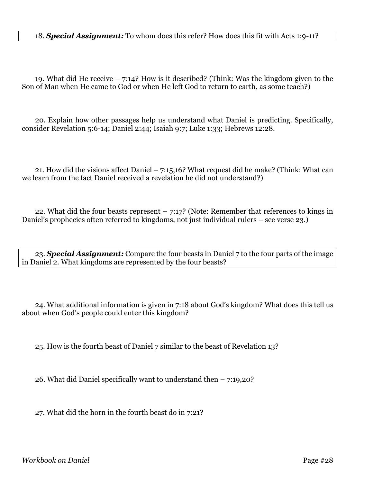### 18. *Special Assignment:* To whom does this refer? How does this fit with Acts 1:9-11?

19. What did He receive – 7:14? How is it described? (Think: Was the kingdom given to the Son of Man when He came to God or when He left God to return to earth, as some teach?)

20. Explain how other passages help us understand what Daniel is predicting. Specifically, consider Revelation 5:6-14; Daniel 2:44; Isaiah 9:7; Luke 1:33; Hebrews 12:28.

21. How did the visions affect Daniel – 7:15,16? What request did he make? (Think: What can we learn from the fact Daniel received a revelation he did not understand?)

22. What did the four beasts represent  $-7:17$ ? (Note: Remember that references to kings in Daniel's prophecies often referred to kingdoms, not just individual rulers – see verse 23.)

23. *Special Assignment:* Compare the four beasts in Daniel 7 to the four parts of the image in Daniel 2. What kingdoms are represented by the four beasts?

24. What additional information is given in 7:18 about God's kingdom? What does this tell us about when God's people could enter this kingdom?

25. How is the fourth beast of Daniel 7 similar to the beast of Revelation 13?

26. What did Daniel specifically want to understand then – 7:19,20?

27. What did the horn in the fourth beast do in 7:21?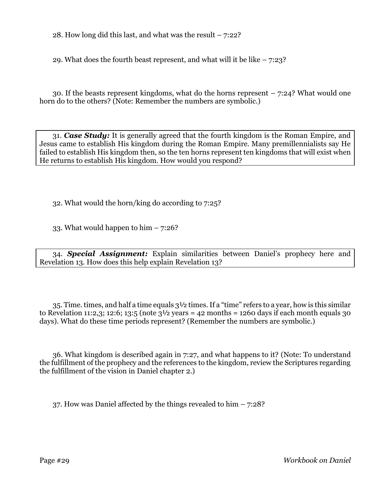28. How long did this last, and what was the result – 7:22?

29. What does the fourth beast represent, and what will it be like  $-7:23$ ?

30. If the beasts represent kingdoms, what do the horns represent – 7:24? What would one horn do to the others? (Note: Remember the numbers are symbolic.)

31. *Case Study:* It is generally agreed that the fourth kingdom is the Roman Empire, and Jesus came to establish His kingdom during the Roman Empire. Many premillennialists say He failed to establish His kingdom then, so the ten horns represent ten kingdoms that will exist when He returns to establish His kingdom. How would you respond?

32. What would the horn/king do according to 7:25?

33. What would happen to him  $-7:26$ ?

34. *Special Assignment:* Explain similarities between Daniel's prophecy here and Revelation 13. How does this help explain Revelation 13?

35. Time. times, and half a time equals 3½ times. If a "time" refers to a year, how is this similar to Revelation 11:2,3; 12:6; 13:5 (note  $3\frac{1}{2}$  years = 42 months = 1260 days if each month equals 30 days). What do these time periods represent? (Remember the numbers are symbolic.)

36. What kingdom is described again in 7:27, and what happens to it? (Note: To understand the fulfillment of the prophecy and the references to the kingdom, review the Scriptures regarding the fulfillment of the vision in Daniel chapter 2.)

37. How was Daniel affected by the things revealed to him  $-7:28$ ?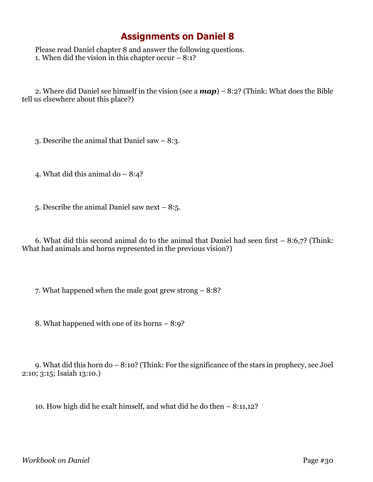Please read Daniel chapter 8 and answer the following questions. 1. When did the vision in this chapter occur  $-8:1?$ 

2. Where did Daniel see himself in the vision (see a *map*) – 8:2? (Think: What does the Bible tell us elsewhere about this place?)

3. Describe the animal that Daniel saw – 8:3.

4. What did this animal do  $-8:4$ ?

5. Describe the animal Daniel saw next – 8:5.

6. What did this second animal do to the animal that Daniel had seen first – 8:6,7? (Think: What had animals and horns represented in the previous vision?)

7. What happened when the male goat grew strong – 8:8?

8. What happened with one of its horns – 8:9?

9. What did this horn do – 8:10? (Think: For the significance of the stars in prophecy, see Joel 2:10; 3:15; Isaiah 13:10.)

10. How high did he exalt himself, and what did he do then – 8:11,12?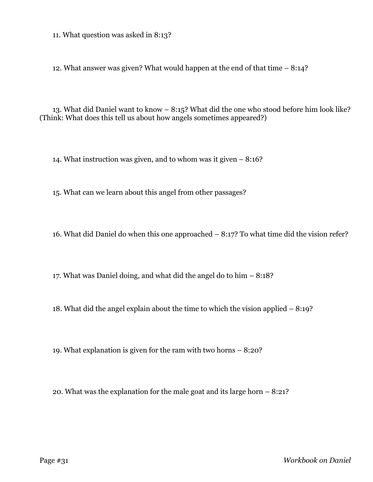11. What question was asked in 8:13?

12. What answer was given? What would happen at the end of that time – 8:14?

13. What did Daniel want to know – 8:15? What did the one who stood before him look like? (Think: What does this tell us about how angels sometimes appeared?)

14. What instruction was given, and to whom was it given – 8:16?

15. What can we learn about this angel from other passages?

16. What did Daniel do when this one approached – 8:17? To what time did the vision refer?

17. What was Daniel doing, and what did the angel do to him – 8:18?

18. What did the angel explain about the time to which the vision applied – 8:19?

19. What explanation is given for the ram with two horns – 8:20?

20. What was the explanation for the male goat and its large horn – 8:21?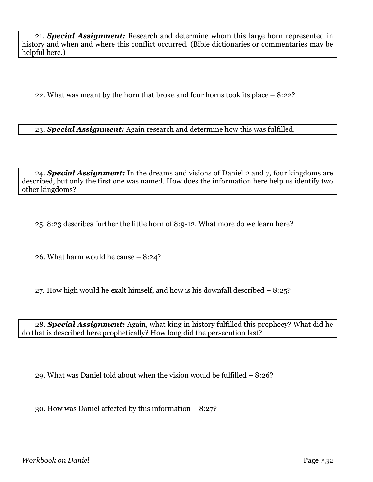21. *Special Assignment:* Research and determine whom this large horn represented in history and when and where this conflict occurred. (Bible dictionaries or commentaries may be helpful here.)

22. What was meant by the horn that broke and four horns took its place – 8:22?

23. *Special Assignment:* Again research and determine how this was fulfilled.

24. *Special Assignment:* In the dreams and visions of Daniel 2 and 7, four kingdoms are described, but only the first one was named. How does the information here help us identify two other kingdoms?

25. 8:23 describes further the little horn of 8:9-12. What more do we learn here?

26. What harm would he cause – 8:24?

27. How high would he exalt himself, and how is his downfall described – 8:25?

28. *Special Assignment:* Again, what king in history fulfilled this prophecy? What did he do that is described here prophetically? How long did the persecution last?

29. What was Daniel told about when the vision would be fulfilled – 8:26?

30. How was Daniel affected by this information – 8:27?

*Workbook on Daniel* Page #32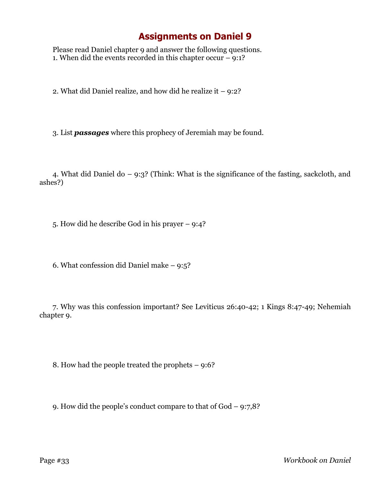Please read Daniel chapter 9 and answer the following questions. 1. When did the events recorded in this chapter occur – 9:1?

2. What did Daniel realize, and how did he realize it – 9:2?

3. List *passages* where this prophecy of Jeremiah may be found.

4. What did Daniel do – 9:3? (Think: What is the significance of the fasting, sackcloth, and ashes?)

5. How did he describe God in his prayer – 9:4?

6. What confession did Daniel make – 9:5?

7. Why was this confession important? See Leviticus 26:40-42; 1 Kings 8:47-49; Nehemiah chapter 9.

8. How had the people treated the prophets – 9:6?

9. How did the people's conduct compare to that of God – 9:7,8?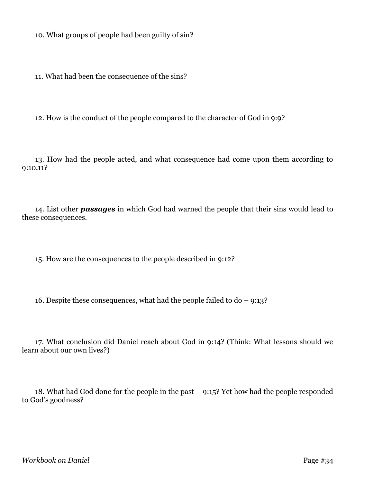10. What groups of people had been guilty of sin?

11. What had been the consequence of the sins?

12. How is the conduct of the people compared to the character of God in 9:9?

13. How had the people acted, and what consequence had come upon them according to 9:10,11?

14. List other *passages* in which God had warned the people that their sins would lead to these consequences.

15. How are the consequences to the people described in 9:12?

16. Despite these consequences, what had the people failed to  $d_0 - 9:13$ ?

17. What conclusion did Daniel reach about God in 9:14? (Think: What lessons should we learn about our own lives?)

18. What had God done for the people in the past – 9:15? Yet how had the people responded to God's goodness?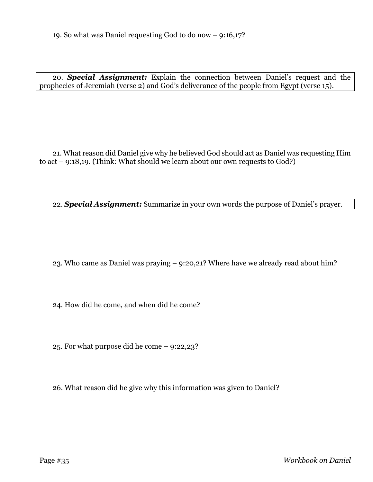20. *Special Assignment:* Explain the connection between Daniel's request and the prophecies of Jeremiah (verse 2) and God's deliverance of the people from Egypt (verse 15).

21. What reason did Daniel give why he believed God should act as Daniel was requesting Him to act – 9:18,19. (Think: What should we learn about our own requests to God?)

22. *Special Assignment:* Summarize in your own words the purpose of Daniel's prayer.

23. Who came as Daniel was praying – 9:20,21? Where have we already read about him?

24. How did he come, and when did he come?

25. For what purpose did he come – 9:22,23?

26. What reason did he give why this information was given to Daniel?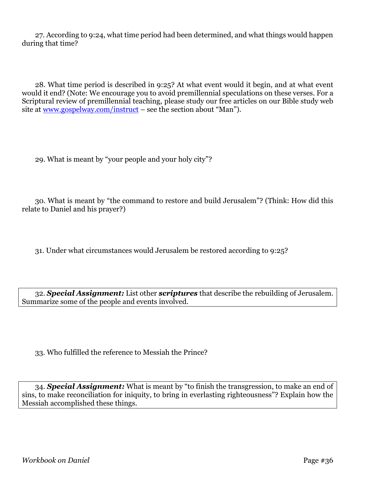27. According to 9:24, what time period had been determined, and what things would happen during that time?

28. What time period is described in 9:25? At what event would it begin, and at what event would it end? (Note: We encourage you to avoid premillennial speculations on these verses. For a Scriptural review of premillennial teaching, please study our free articles on our Bible study web site at [www.gospelway.com/instruct](http://www.gospelway.com/instruct) – see the section about "Man").

29. What is meant by "your people and your holy city"?

30. What is meant by "the command to restore and build Jerusalem"? (Think: How did this relate to Daniel and his prayer?)

31. Under what circumstances would Jerusalem be restored according to 9:25?

32. *Special Assignment:* List other *scriptures* that describe the rebuilding of Jerusalem. Summarize some of the people and events involved.

33. Who fulfilled the reference to Messiah the Prince?

34. *Special Assignment:* What is meant by "to finish the transgression, to make an end of sins, to make reconciliation for iniquity, to bring in everlasting righteousness"? Explain how the Messiah accomplished these things.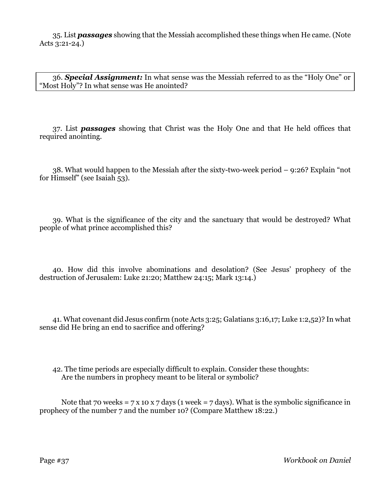35. List *passages* showing that the Messiah accomplished these things when He came. (Note Acts 3:21-24.)

36. *Special Assignment:* In what sense was the Messiah referred to as the "Holy One" or "Most Holy"? In what sense was He anointed?

37. List *passages* showing that Christ was the Holy One and that He held offices that required anointing.

38. What would happen to the Messiah after the sixty-two-week period – 9:26? Explain "not for Himself" (see Isaiah 53).

39. What is the significance of the city and the sanctuary that would be destroyed? What people of what prince accomplished this?

40. How did this involve abominations and desolation? (See Jesus' prophecy of the destruction of Jerusalem: Luke 21:20; Matthew 24:15; Mark 13:14.)

41. What covenant did Jesus confirm (note Acts 3:25; Galatians 3:16,17; Luke 1:2,52)? In what sense did He bring an end to sacrifice and offering?

42. The time periods are especially difficult to explain. Consider these thoughts: Are the numbers in prophecy meant to be literal or symbolic?

Note that 70 weeks = 7 x 10 x 7 days (1 week = 7 days). What is the symbolic significance in prophecy of the number 7 and the number 10? (Compare Matthew 18:22.)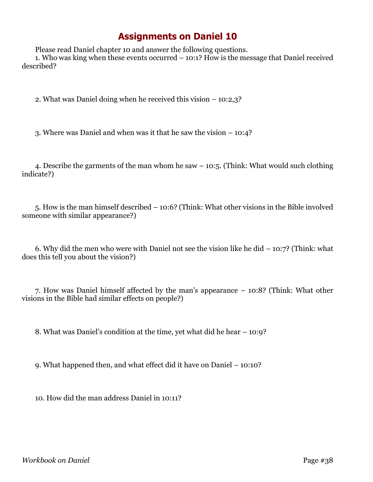Please read Daniel chapter 10 and answer the following questions. 1. Who was king when these events occurred – 10:1? How is the message that Daniel received described?

2. What was Daniel doing when he received this vision – 10:2,3?

3. Where was Daniel and when was it that he saw the vision – 10:4?

4. Describe the garments of the man whom he saw – 10:5. (Think: What would such clothing indicate?)

5. How is the man himself described – 10:6? (Think: What other visions in the Bible involved someone with similar appearance?)

6. Why did the men who were with Daniel not see the vision like he did  $-10:7$ ? (Think: what does this tell you about the vision?)

7. How was Daniel himself affected by the man's appearance – 10:8? (Think: What other visions in the Bible had similar effects on people?)

8. What was Daniel's condition at the time, yet what did he hear – 10:9?

9. What happened then, and what effect did it have on Daniel – 10:10?

10. How did the man address Daniel in 10:11?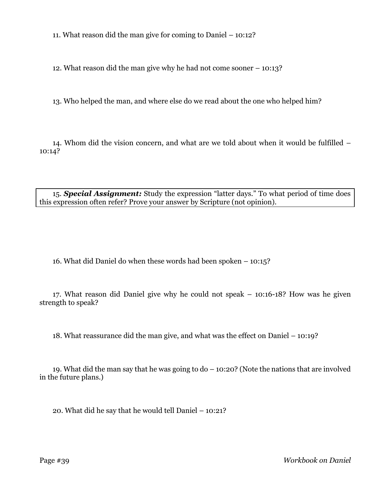11. What reason did the man give for coming to Daniel – 10:12?

12. What reason did the man give why he had not come sooner – 10:13?

13. Who helped the man, and where else do we read about the one who helped him?

14. Whom did the vision concern, and what are we told about when it would be fulfilled – 10:14?

15. *Special Assignment:* Study the expression "latter days." To what period of time does this expression often refer? Prove your answer by Scripture (not opinion).

16. What did Daniel do when these words had been spoken – 10:15?

17. What reason did Daniel give why he could not speak – 10:16-18? How was he given strength to speak?

18. What reassurance did the man give, and what was the effect on Daniel – 10:19?

19. What did the man say that he was going to do – 10:20? (Note the nations that are involved in the future plans.)

20. What did he say that he would tell Daniel – 10:21?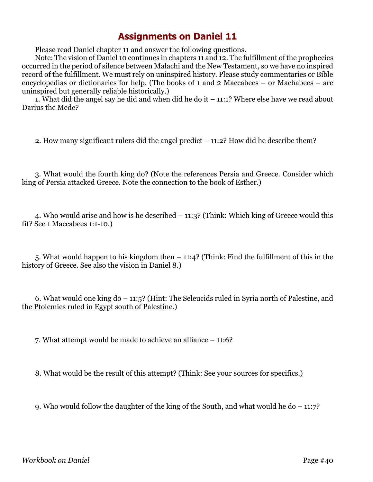Please read Daniel chapter 11 and answer the following questions.

Note: The vision of Daniel 10 continues in chapters 11 and 12. The fulfillment of the prophecies occurred in the period of silence between Malachi and the New Testament, so we have no inspired record of the fulfillment. We must rely on uninspired history. Please study commentaries or Bible encyclopedias or dictionaries for help. (The books of 1 and 2 Maccabees – or Machabees – are uninspired but generally reliable historically.)

1. What did the angel say he did and when did he do it – 11:1? Where else have we read about Darius the Mede?

2. How many significant rulers did the angel predict – 11:2? How did he describe them?

3. What would the fourth king do? (Note the references Persia and Greece. Consider which king of Persia attacked Greece. Note the connection to the book of Esther.)

4. Who would arise and how is he described – 11:3? (Think: Which king of Greece would this fit? See 1 Maccabees 1:1-10.)

5. What would happen to his kingdom then – 11:4? (Think: Find the fulfillment of this in the history of Greece. See also the vision in Daniel 8.)

6. What would one king do – 11:5? (Hint: The Seleucids ruled in Syria north of Palestine, and the Ptolemies ruled in Egypt south of Palestine.)

7. What attempt would be made to achieve an alliance – 11:6?

8. What would be the result of this attempt? (Think: See your sources for specifics.)

9. Who would follow the daughter of the king of the South, and what would he do  $-11:7$ ?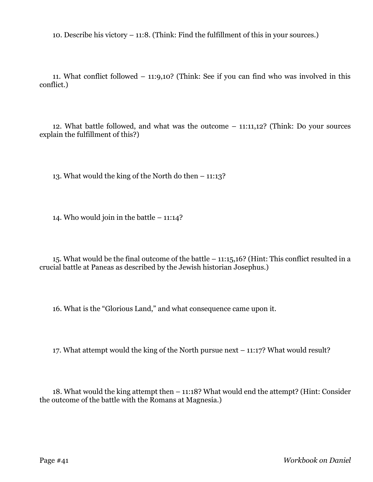10. Describe his victory – 11:8. (Think: Find the fulfillment of this in your sources.)

11. What conflict followed – 11:9,10? (Think: See if you can find who was involved in this conflict.)

12. What battle followed, and what was the outcome – 11:11,12? (Think: Do your sources explain the fulfillment of this?)

13. What would the king of the North do then – 11:13?

14. Who would join in the battle – 11:14?

15. What would be the final outcome of the battle – 11:15,16? (Hint: This conflict resulted in a crucial battle at Paneas as described by the Jewish historian Josephus.)

16. What is the "Glorious Land," and what consequence came upon it.

17. What attempt would the king of the North pursue next – 11:17? What would result?

18. What would the king attempt then – 11:18? What would end the attempt? (Hint: Consider the outcome of the battle with the Romans at Magnesia.)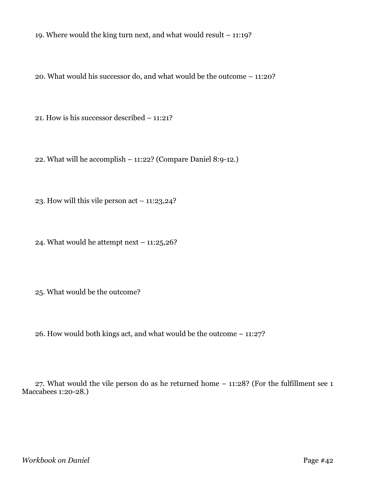19. Where would the king turn next, and what would result – 11:19?

20. What would his successor do, and what would be the outcome – 11:20?

21. How is his successor described – 11:21?

22. What will he accomplish – 11:22? (Compare Daniel 8:9-12.)

23. How will this vile person act – 11:23,24?

24. What would he attempt next  $-11:25,26$ ?

25. What would be the outcome?

26. How would both kings act, and what would be the outcome – 11:27?

27. What would the vile person do as he returned home – 11:28? (For the fulfillment see 1 Maccabees 1:20-28.)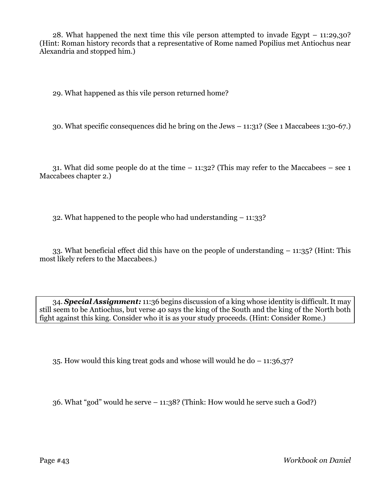28. What happened the next time this vile person attempted to invade Egypt – 11:29,30? (Hint: Roman history records that a representative of Rome named Popilius met Antiochus near Alexandria and stopped him.)

29. What happened as this vile person returned home?

30. What specific consequences did he bring on the Jews – 11:31? (See 1 Maccabees 1:30-67.)

31. What did some people do at the time  $-$  11:32? (This may refer to the Maccabees  $-$  see 1 Maccabees chapter 2.)

32. What happened to the people who had understanding – 11:33?

33. What beneficial effect did this have on the people of understanding – 11:35? (Hint: This most likely refers to the Maccabees.)

34. *Special Assignment:* 11:36 begins discussion of a king whose identity is difficult. It may still seem to be Antiochus, but verse 40 says the king of the South and the king of the North both fight against this king. Consider who it is as your study proceeds. (Hint: Consider Rome.)

35. How would this king treat gods and whose will would he do – 11:36,37?

36. What "god" would he serve – 11:38? (Think: How would he serve such a God?)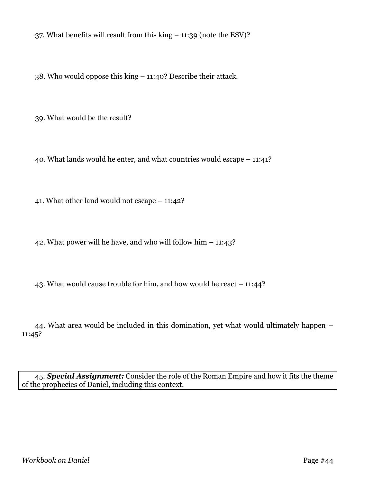37. What benefits will result from this king – 11:39 (note the ESV)?

38. Who would oppose this king – 11:40? Describe their attack.

39. What would be the result?

40. What lands would he enter, and what countries would escape – 11:41?

41. What other land would not escape – 11:42?

42. What power will he have, and who will follow him – 11:43?

43. What would cause trouble for him, and how would he react – 11:44?

44. What area would be included in this domination, yet what would ultimately happen – 11:45?

45. *Special Assignment:* Consider the role of the Roman Empire and how it fits the theme of the prophecies of Daniel, including this context.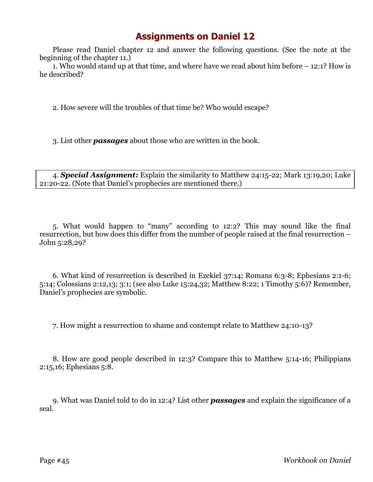Please read Daniel chapter 12 and answer the following questions. (See the note at the beginning of the chapter 11.)

1. Who would stand up at that time, and where have we read about him before – 12:1? How is he described?

2. How severe will the troubles of that time be? Who would escape?

3. List other *passages* about those who are written in the book.

4. *Special Assignment:* Explain the similarity to Matthew 24:15-22; Mark 13:19,20; Luke 21:20-22. (Note that Daniel's prophecies are mentioned there.)

5. What would happen to "many" according to 12:2? This may sound like the final resurrection, but how does this differ from the number of people raised at the final resurrection – John 5:28,29?

6. What kind of resurrection is described in Ezekiel 37:14; Romans 6:3-8; Ephesians 2:1-6; 5:14; Colossians 2:12,13; 3:1; (see also Luke 15:24,32; Matthew 8:22; 1 Timothy 5:6)? Remember, Daniel's prophecies are symbolic.

7. How might a resurrection to shame and contempt relate to Matthew 24:10-13?

8. How are good people described in 12:3? Compare this to Matthew 5:14-16; Philippians 2:15,16; Ephesians 5:8.

9. What was Daniel told to do in 12:4? List other *passages* and explain the significance of a seal.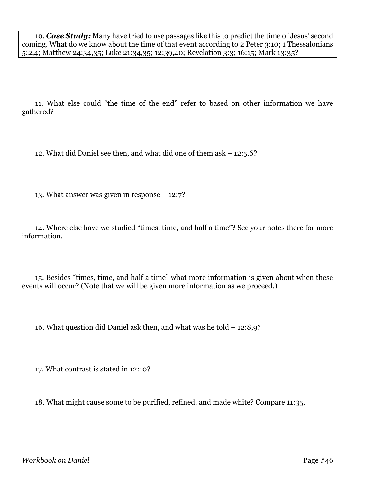10. *Case Study:* Many have tried to use passages like this to predict the time of Jesus' second coming. What do we know about the time of that event according to 2 Peter 3:10; 1 Thessalonians 5:2,4; Matthew 24:34,35; Luke 21:34,35; 12:39,40; Revelation 3:3; 16:15; Mark 13:35?

11. What else could "the time of the end" refer to based on other information we have gathered?

12. What did Daniel see then, and what did one of them ask – 12:5,6?

13. What answer was given in response – 12:7?

14. Where else have we studied "times, time, and half a time"? See your notes there for more information.

15. Besides "times, time, and half a time" what more information is given about when these events will occur? (Note that we will be given more information as we proceed.)

16. What question did Daniel ask then, and what was he told – 12:8,9?

17. What contrast is stated in 12:10?

18. What might cause some to be purified, refined, and made white? Compare 11:35.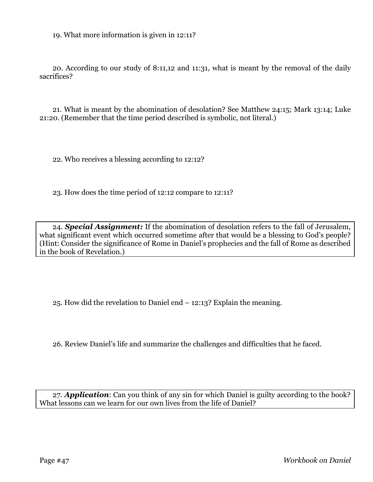19. What more information is given in 12:11?

20. According to our study of 8:11,12 and 11:31, what is meant by the removal of the daily sacrifices?

21. What is meant by the abomination of desolation? See Matthew 24:15; Mark 13:14; Luke 21:20. (Remember that the time period described is symbolic, not literal.)

22. Who receives a blessing according to 12:12?

23. How does the time period of 12:12 compare to 12:11?

24. *Special Assignment:* If the abomination of desolation refers to the fall of Jerusalem, what significant event which occurred sometime after that would be a blessing to God's people? (Hint: Consider the significance of Rome in Daniel's prophecies and the fall of Rome as described in the book of Revelation.)

25. How did the revelation to Daniel end – 12:13? Explain the meaning.

26. Review Daniel's life and summarize the challenges and difficulties that he faced.

27. *Application*: Can you think of any sin for which Daniel is guilty according to the book? What lessons can we learn for our own lives from the life of Daniel?